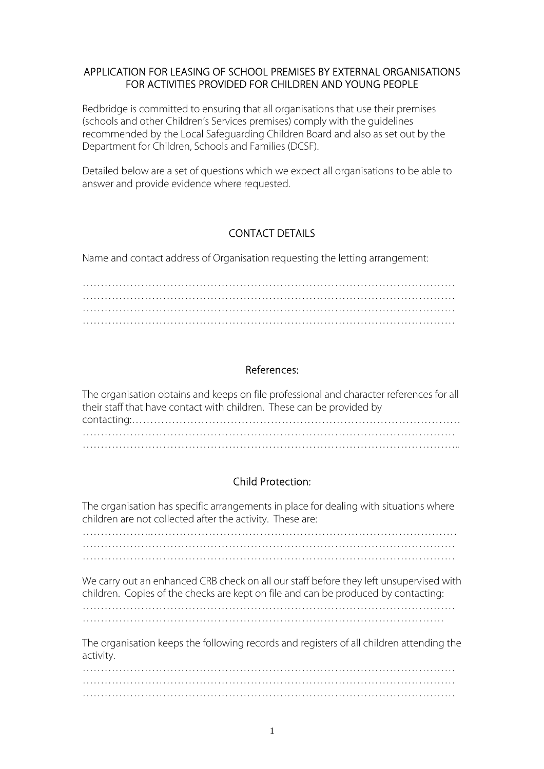#### APPLICATION FOR LEASING OF SCHOOL PREMISES BY EXTERNAL ORGANISATIONS FOR ACTIVITIES PROVIDED FOR CHILDREN AND YOUNG PEOPLE

Redbridge is committed to ensuring that all organisations that use their premises (schools and other Children's Services premises) comply with the guidelines recommended by the Local Safeguarding Children Board and also as set out by the Department for Children, Schools and Families (DCSF).

Detailed below are a set of questions which we expect all organisations to be able to answer and provide evidence where requested.

## CONTACT DETAILS

Name and contact address of Organisation requesting the letting arrangement:

………………………………………………………………………………………… …………………………………………………………………………………………

#### References:

| The organisation obtains and keeps on file professional and character references for all |
|------------------------------------------------------------------------------------------|
| their staff that have contact with children. These can be provided by                    |
|                                                                                          |
|                                                                                          |
|                                                                                          |

## Child Protection:

The organisation has specific arrangements in place for dealing with situations where children are not collected after the activity. These are:

……………….…………………………………………………………………………

We carry out an enhanced CRB check on all our staff before they left unsupervised with children. Copies of the checks are kept on file and can be produced by contacting:

The organisation keeps the following records and registers of all children attending the activity.

………………………………………………………………………………………… …………………………………………………………………………………………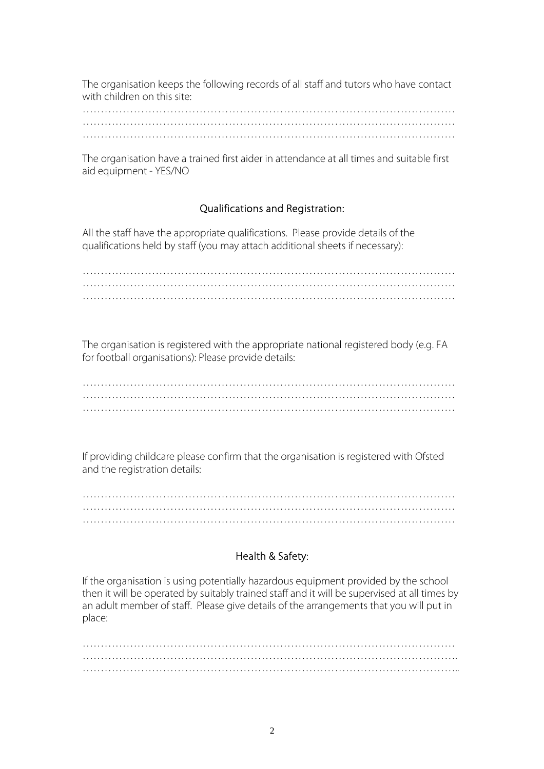The organisation keeps the following records of all staff and tutors who have contact with children on this site:

The organisation have a trained first aider in attendance at all times and suitable first aid equipment - YES/NO

## Qualifications and Registration:

All the staff have the appropriate qualifications. Please provide details of the qualifications held by staff (you may attach additional sheets if necessary):

………………………………………………………………………………………… ………………………………………………………………………………………… …………………………………………………………………………………………

The organisation is registered with the appropriate national registered body (e.g. FA for football organisations): Please provide details:

If providing childcare please confirm that the organisation is registered with Ofsted and the registration details:

…………………………………………………………………………………………

## Health & Safety:

If the organisation is using potentially hazardous equipment provided by the school then it will be operated by suitably trained staff and it will be supervised at all times by an adult member of staff. Please give details of the arrangements that you will put in place:

………………………………………………………………………………………… …………………………………………………………………………………………. …………………………………………………………………………………………..